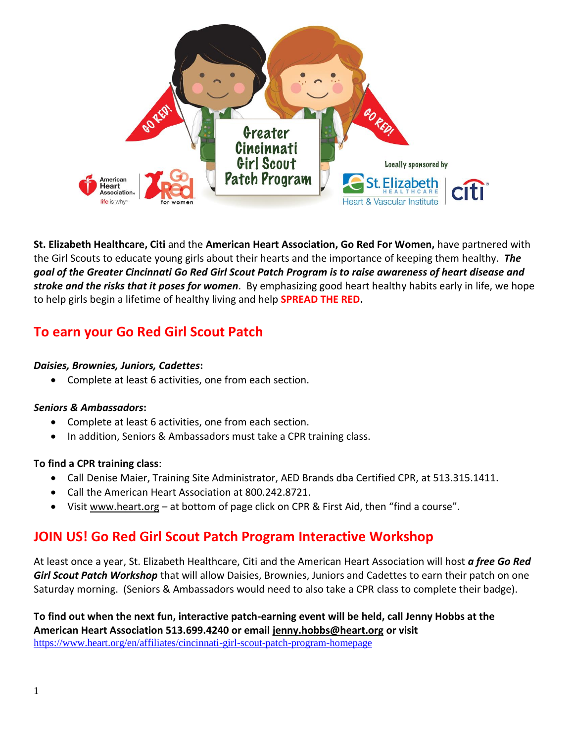

**St. Elizabeth Healthcare, Citi** and the **American Heart Association, Go Red For Women,** have partnered with the Girl Scouts to educate young girls about their hearts and the importance of keeping them healthy. *The goal of the Greater Cincinnati Go Red Girl Scout Patch Program is to raise awareness of heart disease and stroke and the risks that it poses for women*. By emphasizing good heart healthy habits early in life, we hope to help girls begin a lifetime of healthy living and help **SPREAD THE RED.**

#### **To earn your Go Red Girl Scout Patch**

#### *Daisies, Brownies, Juniors, Cadettes***:**

• Complete at least 6 activities, one from each section.

#### *Seniors & Ambassadors***:**

- Complete at least 6 activities, one from each section.
- In addition, Seniors & Ambassadors must take a CPR training class.

#### **To find a CPR training class**:

- Call Denise Maier, Training Site Administrator, AED Brands dba Certified CPR, at 513.315.1411.
- Call the American Heart Association at 800.242.8721.
- Visit www.heart.org at bottom of page click on CPR & First Aid, then "find a course".

#### **JOIN US! Go Red Girl Scout Patch Program Interactive Workshop**

At least once a year, St. Elizabeth Healthcare, Citi and the American Heart Association will host *a free Go Red Girl Scout Patch Workshop* that will allow Daisies, Brownies, Juniors and Cadettes to earn their patch on one Saturday morning. (Seniors & Ambassadors would need to also take a CPR class to complete their badge).

**To find out when the next fun, interactive patch-earning event will be held, call Jenny Hobbs at the American Heart Association 513.699.4240 or email jenny.hobbs@heart.org or visit**  https://www.heart.org/en/affiliates/cincinnati-girl-scout-patch-program-homepage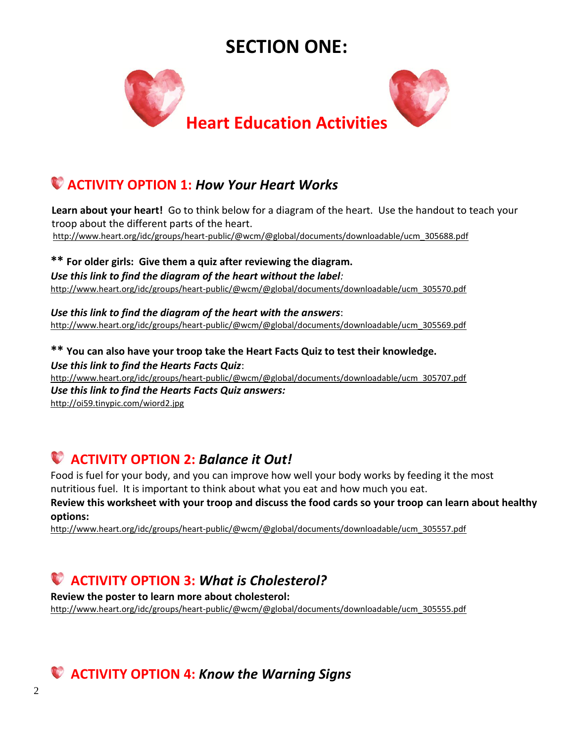## **SECTION ONE:**



### **ACTIVITY OPTION 1:** *How Your Heart Works*

 **Learn about your heart!** Go to think below for a diagram of the heart. Use the handout to teach your troop about the different parts of the heart. http://www.heart.org/idc/groups/heart-public/@wcm/@global/documents/downloadable/ucm\_305688.pdf

**\*\* For older girls: Give them a quiz after reviewing the diagram.** *Use this link to find the diagram of the heart without the label:* http://www.heart.org/idc/groups/heart-public/@wcm/@global/documents/downloadable/ucm\_305570.pdf

*Use this link to find the diagram of the heart with the answers*: http://www.heart.org/idc/groups/heart-public/@wcm/@global/documents/downloadable/ucm\_305569.pdf

**\*\* You can also have your troop take the Heart Facts Quiz to test their knowledge.** *Use this link to find the Hearts Facts Quiz*:

http://www.heart.org/idc/groups/heart-public/@wcm/@global/documents/downloadable/ucm\_305707.pdf *Use this link to find the Hearts Facts Quiz answers:* http://oi59.tinypic.com/wiord2.jpg

# **ACTIVITY OPTION 2:** *Balance it Out!*

Food is fuel for your body, and you can improve how well your body works by feeding it the most nutritious fuel. It is important to think about what you eat and how much you eat.

**Review this worksheet with your troop and discuss the food cards so your troop can learn about healthy options:**

http://www.heart.org/idc/groups/heart-public/@wcm/@global/documents/downloadable/ucm\_305557.pdf

### **ACTIVITY OPTION 3:** *What is Cholesterol?*

**Review the poster to learn more about cholesterol:** http://www.heart.org/idc/groups/heart-public/@wcm/@global/documents/downloadable/ucm\_305555.pdf

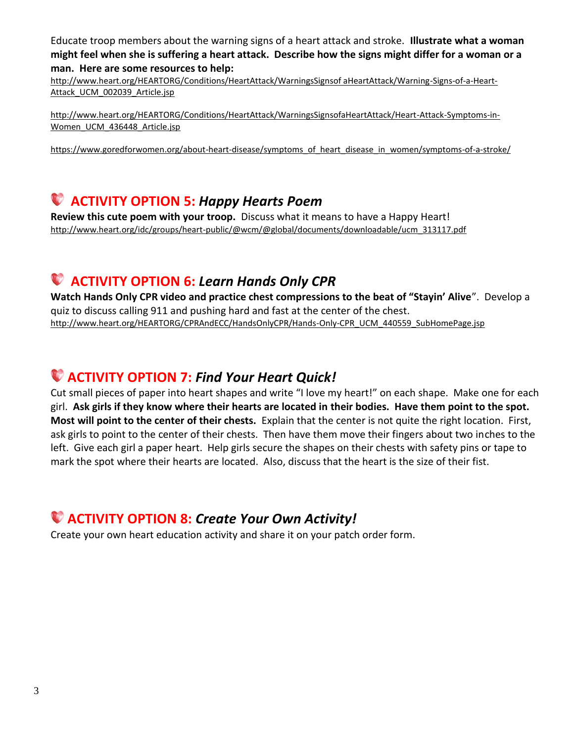Educate troop members about the warning signs of a heart attack and stroke. **Illustrate what a woman might feel when she is suffering a heart attack. Describe how the signs might differ for a woman or a man. Here are some resources to help:**

http://www.heart.org/HEARTORG/Conditions/HeartAttack/WarningsSignsof aHeartAttack/Warning-Signs-of-a-Heart-Attack UCM 002039 Article.jsp

http://www.heart.org/HEARTORG/Conditions/HeartAttack/WarningsSignsofaHeartAttack/Heart-Attack-Symptoms-in-Women\_UCM\_436448\_Article.jsp

https://www.goredforwomen.org/about-heart-disease/symptoms of heart disease in women/symptoms-of-a-stroke/

#### **ACTIVITY OPTION 5:** *Happy Hearts Poem*

**Review this cute poem with your troop.** Discuss what it means to have a Happy Heart! http://www.heart.org/idc/groups/heart-public/@wcm/@global/documents/downloadable/ucm\_313117.pdf

#### **ACTIVITY OPTION 6:** *Learn Hands Only CPR*

**Watch Hands Only CPR video and practice chest compressions to the beat of "Stayin' Alive**". Develop a quiz to discuss calling 911 and pushing hard and fast at the center of the chest. http://www.heart.org/HEARTORG/CPRAndECC/HandsOnlyCPR/Hands-Only-CPR\_UCM\_440559\_SubHomePage.jsp

### **ACTIVITY OPTION 7:** *Find Your Heart Quick!*

Cut small pieces of paper into heart shapes and write "I love my heart!" on each shape. Make one for each girl. **Ask girls if they know where their hearts are located in their bodies. Have them point to the spot. Most will point to the center of their chests.** Explain that the center is not quite the right location. First, ask girls to point to the center of their chests. Then have them move their fingers about two inches to the left. Give each girl a paper heart. Help girls secure the shapes on their chests with safety pins or tape to mark the spot where their hearts are located. Also, discuss that the heart is the size of their fist.

### **ACTIVITY OPTION 8:** *Create Your Own Activity!*

Create your own heart education activity and share it on your patch order form.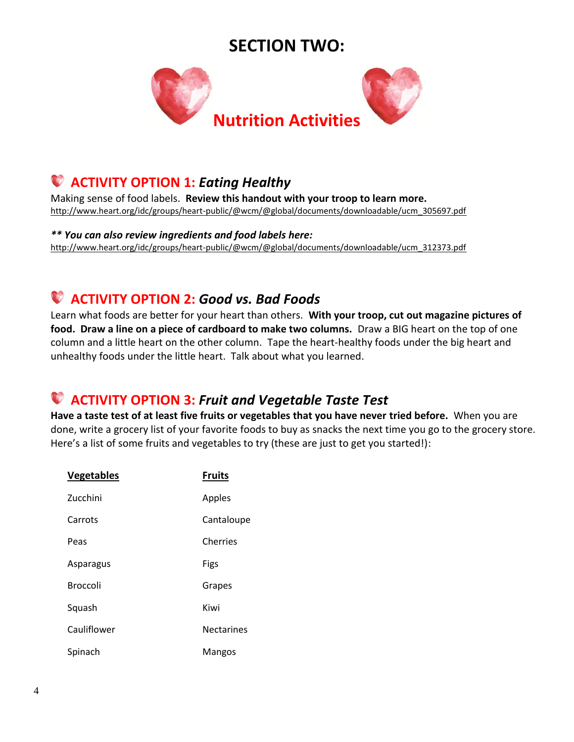### **SECTION TWO:**



### **ACTIVITY OPTION 1:** *Eating Healthy*

Making sense of food labels. **Review this handout with your troop to learn more.** http://www.heart.org/idc/groups/heart-public/@wcm/@global/documents/downloadable/ucm\_305697.pdf

*\*\* You can also review ingredients and food labels here:* http://www.heart.org/idc/groups/heart-public/@wcm/@global/documents/downloadable/ucm\_312373.pdf

## **ACTIVITY OPTION 2:** *Good vs. Bad Foods*

Learn what foods are better for your heart than others. **With your troop, cut out magazine pictures of food. Draw a line on a piece of cardboard to make two columns.** Draw a BIG heart on the top of one column and a little heart on the other column. Tape the heart-healthy foods under the big heart and unhealthy foods under the little heart. Talk about what you learned.

### **ACTIVITY OPTION 3:** *Fruit and Vegetable Taste Test*

**Have a taste test of at least five fruits or vegetables that you have never tried before.** When you are done, write a grocery list of your favorite foods to buy as snacks the next time you go to the grocery store. Here's a list of some fruits and vegetables to try (these are just to get you started!):

| <b>Vegetables</b> | <b>Fruits</b>     |
|-------------------|-------------------|
| Zucchini          | Apples            |
| Carrots           | Cantaloupe        |
| Peas              | Cherries          |
| Asparagus         | Figs              |
| <b>Broccoli</b>   | Grapes            |
| Squash            | Kiwi              |
| Cauliflower       | <b>Nectarines</b> |
| Spinach           | Mangos            |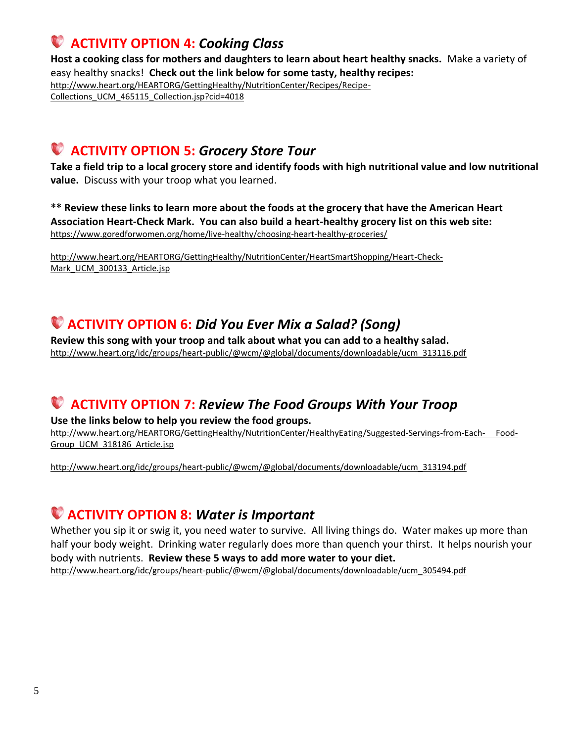### **ACTIVITY OPTION 4:** *Cooking Class*

**Host a cooking class for mothers and daughters to learn about heart healthy snacks.** Make a variety of easy healthy snacks! **Check out the link below for some tasty, healthy recipes:**  http://www.heart.org/HEARTORG/GettingHealthy/NutritionCenter/Recipes/Recipe-Collections\_UCM\_465115\_Collection.jsp?cid=4018

### **ACTIVITY OPTION 5:** *Grocery Store Tour*

**Take a field trip to a local grocery store and identify foods with high nutritional value and low nutritional value.** Discuss with your troop what you learned.

**\*\* Review these links to learn more about the foods at the grocery that have the American Heart Association Heart-Check Mark. You can also build a heart-healthy grocery list on this web site:**  https://www.goredforwomen.org/home/live-healthy/choosing-heart-healthy-groceries/

http://www.heart.org/HEARTORG/GettingHealthy/NutritionCenter/HeartSmartShopping/Heart-Check-Mark\_UCM\_300133\_Article.jsp

#### **ACTIVITY OPTION 6:** *Did You Ever Mix a Salad? (Song)*

**Review this song with your troop and talk about what you can add to a healthy salad.** http://www.heart.org/idc/groups/heart-public/@wcm/@global/documents/downloadable/ucm\_313116.pdf

### **ACTIVITY OPTION 7:** *Review The Food Groups With Your Troop*

**Use the links below to help you review the food groups.** 

http://www.heart.org/HEARTORG/GettingHealthy/NutritionCenter/HealthyEating/Suggested-Servings-from-Each- Food-Group\_UCM\_318186\_Article.jsp

http://www.heart.org/idc/groups/heart-public/@wcm/@global/documents/downloadable/ucm\_313194.pdf

### **ACTIVITY OPTION 8:** *Water is Important*

Whether you sip it or swig it, you need water to survive. All living things do. Water makes up more than half your body weight. Drinking water regularly does more than quench your thirst. It helps nourish your body with nutrients. **Review these 5 ways to add more water to your diet.** http://www.heart.org/idc/groups/heart-public/@wcm/@global/documents/downloadable/ucm\_305494.pdf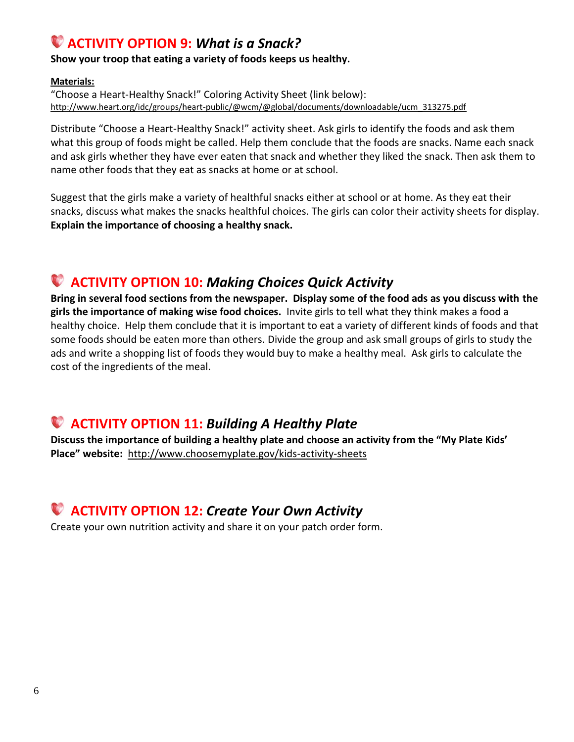### **ACTIVITY OPTION 9:** *What is a Snack?*

**Show your troop that eating a variety of foods keeps us healthy.**

#### **Materials:**

"Choose a Heart-Healthy Snack!" Coloring Activity Sheet (link below): http://www.heart.org/idc/groups/heart-public/@wcm/@global/documents/downloadable/ucm\_313275.pdf

Distribute "Choose a Heart-Healthy Snack!" activity sheet. Ask girls to identify the foods and ask them what this group of foods might be called. Help them conclude that the foods are snacks. Name each snack and ask girls whether they have ever eaten that snack and whether they liked the snack. Then ask them to name other foods that they eat as snacks at home or at school.

Suggest that the girls make a variety of healthful snacks either at school or at home. As they eat their snacks, discuss what makes the snacks healthful choices. The girls can color their activity sheets for display. **Explain the importance of choosing a healthy snack.**

### **ACTIVITY OPTION 10:** *Making Choices Quick Activity*

**Bring in several food sections from the newspaper. Display some of the food ads as you discuss with the girls the importance of making wise food choices.** Invite girls to tell what they think makes a food a healthy choice. Help them conclude that it is important to eat a variety of different kinds of foods and that some foods should be eaten more than others. Divide the group and ask small groups of girls to study the ads and write a shopping list of foods they would buy to make a healthy meal. Ask girls to calculate the cost of the ingredients of the meal.

### **ACTIVITY OPTION 11:** *Building A Healthy Plate*

**Discuss the importance of building a healthy plate and choose an activity from the "My Plate Kids' Place" website:** http://www.choosemyplate.gov/kids-activity-sheets

#### **ACTIVITY OPTION 12:** *Create Your Own Activity*

Create your own nutrition activity and share it on your patch order form.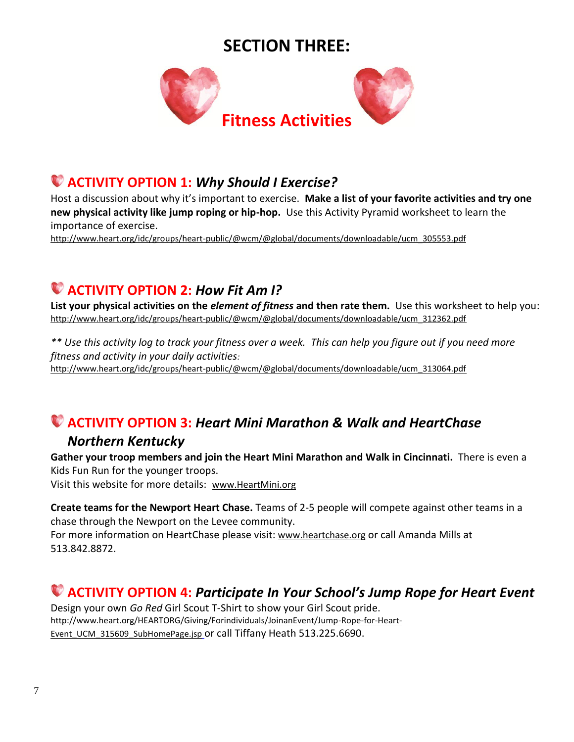## **SECTION THREE:**



### **ACTIVITY OPTION 1:** *Why Should I Exercise?*

Host a discussion about why it's important to exercise. **Make a list of your favorite activities and try one new physical activity like jump roping or hip-hop.** Use this Activity Pyramid worksheet to learn the importance of exercise.

http://www.heart.org/idc/groups/heart-public/@wcm/@global/documents/downloadable/ucm\_305553.pdf

## **ACTIVITY OPTION 2:** *How Fit Am I?*

**List your physical activities on the** *element of fitness* **and then rate them.** Use this worksheet to help you: http://www.heart.org/idc/groups/heart-public/@wcm/@global/documents/downloadable/ucm\_312362.pdf

*\*\* Use this activity log to track your fitness over a week. This can help you figure out if you need more fitness and activity in your daily activities:*  http://www.heart.org/idc/groups/heart-public/@wcm/@global/documents/downloadable/ucm\_313064.pdf

### **ACTIVITY OPTION 3:** *Heart Mini Marathon & Walk and HeartChase Northern Kentucky*

**Gather your troop members and join the Heart Mini Marathon and Walk in Cincinnati.** There is even a Kids Fun Run for the younger troops.

Visit this website for more details: www.HeartMini.org

**Create teams for the Newport Heart Chase.** Teams of 2-5 people will compete against other teams in a chase through the Newport on the Levee community.

For more information on HeartChase please visit: www.heartchase.org or call Amanda Mills at 513.842.8872.

### **ACTIVITY OPTION 4:** *Participate In Your School's Jump Rope for Heart Event*

Design your own *Go Red* Girl Scout T-Shirt to show your Girl Scout pride. http://www.heart.org/HEARTORG/Giving/Forindividuals/JoinanEvent/Jump-Rope-for-Heart-Event\_UCM\_315609\_SubHomePage.jsp or call Tiffany Heath 513.225.6690.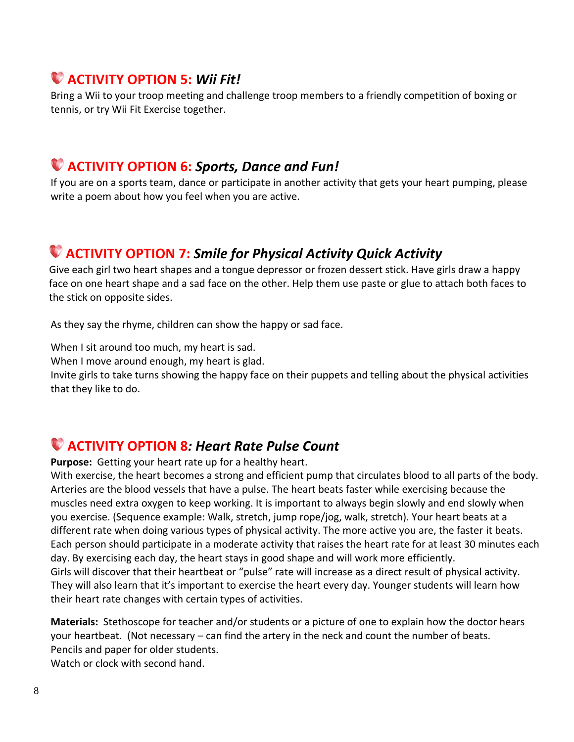### **ACTIVITY OPTION 5:** *Wii Fit!*

Bring a Wii to your troop meeting and challenge troop members to a friendly competition of boxing or tennis, or try Wii Fit Exercise together.

#### **ACTIVITY OPTION 6:** *Sports, Dance and Fun!*

If you are on a sports team, dance or participate in another activity that gets your heart pumping, please write a poem about how you feel when you are active.

## **ACTIVITY OPTION 7:** *Smile for Physical Activity Quick Activity*

 Give each girl two heart shapes and a tongue depressor or frozen dessert stick. Have girls draw a happy face on one heart shape and a sad face on the other. Help them use paste or glue to attach both faces to the stick on opposite sides.

As they say the rhyme, children can show the happy or sad face.

When I sit around too much, my heart is sad.

When I move around enough, my heart is glad.

Invite girls to take turns showing the happy face on their puppets and telling about the physical activities that they like to do.

### **ACTIVITY OPTION 8***: Heart Rate Pulse Count*

**Purpose:** Getting your heart rate up for a healthy heart.

With exercise, the heart becomes a strong and efficient pump that circulates blood to all parts of the body. Arteries are the blood vessels that have a pulse. The heart beats faster while exercising because the muscles need extra oxygen to keep working. It is important to always begin slowly and end slowly when you exercise. (Sequence example: Walk, stretch, jump rope/jog, walk, stretch). Your heart beats at a different rate when doing various types of physical activity. The more active you are, the faster it beats. Each person should participate in a moderate activity that raises the heart rate for at least 30 minutes each day. By exercising each day, the heart stays in good shape and will work more efficiently. Girls will discover that their heartbeat or "pulse" rate will increase as a direct result of physical activity. They will also learn that it's important to exercise the heart every day. Younger students will learn how their heart rate changes with certain types of activities.

**Materials:** Stethoscope for teacher and/or students or a picture of one to explain how the doctor hears your heartbeat. (Not necessary – can find the artery in the neck and count the number of beats. Pencils and paper for older students.

Watch or clock with second hand.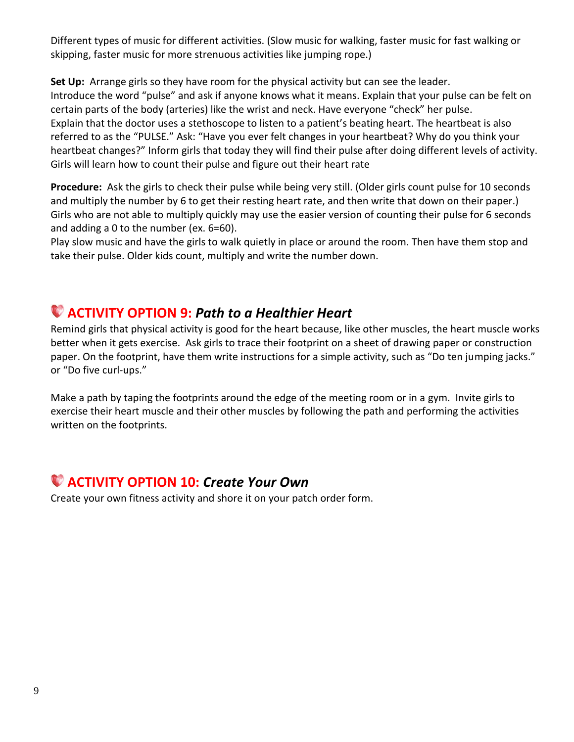Different types of music for different activities. (Slow music for walking, faster music for fast walking or skipping, faster music for more strenuous activities like jumping rope.)

**Set Up:** Arrange girls so they have room for the physical activity but can see the leader. Introduce the word "pulse" and ask if anyone knows what it means. Explain that your pulse can be felt on certain parts of the body (arteries) like the wrist and neck. Have everyone "check" her pulse. Explain that the doctor uses a stethoscope to listen to a patient's beating heart. The heartbeat is also referred to as the "PULSE." Ask: "Have you ever felt changes in your heartbeat? Why do you think your heartbeat changes?" Inform girls that today they will find their pulse after doing different levels of activity. Girls will learn how to count their pulse and figure out their heart rate

**Procedure:** Ask the girls to check their pulse while being very still. (Older girls count pulse for 10 seconds and multiply the number by 6 to get their resting heart rate, and then write that down on their paper.) Girls who are not able to multiply quickly may use the easier version of counting their pulse for 6 seconds and adding a 0 to the number (ex. 6=60).

Play slow music and have the girls to walk quietly in place or around the room. Then have them stop and take their pulse. Older kids count, multiply and write the number down.

### **ACTIVITY OPTION 9:** *Path to a Healthier Heart*

Remind girls that physical activity is good for the heart because, like other muscles, the heart muscle works better when it gets exercise. Ask girls to trace their footprint on a sheet of drawing paper or construction paper. On the footprint, have them write instructions for a simple activity, such as "Do ten jumping jacks." or "Do five curl-ups."

Make a path by taping the footprints around the edge of the meeting room or in a gym. Invite girls to exercise their heart muscle and their other muscles by following the path and performing the activities written on the footprints.

#### **ACTIVITY OPTION 10:** *Create Your Own*

Create your own fitness activity and shore it on your patch order form.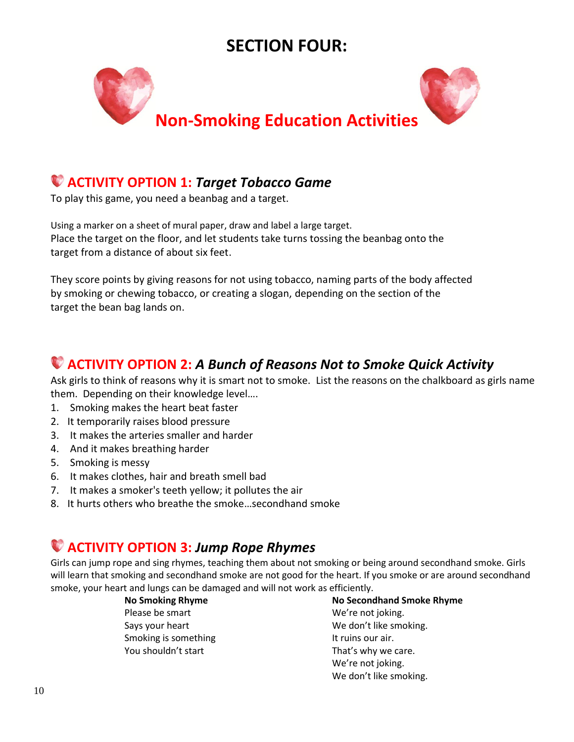## **SECTION FOUR:**



#### **ACTIVITY OPTION 1:** *Target Tobacco Game*

To play this game, you need a beanbag and a target.

Using a marker on a sheet of mural paper, draw and label a large target. Place the target on the floor, and let students take turns tossing the beanbag onto the target from a distance of about six feet.

They score points by giving reasons for not using tobacco, naming parts of the body affected by smoking or chewing tobacco, or creating a slogan, depending on the section of the target the bean bag lands on.

### **ACTIVITY OPTION 2:** *A Bunch of Reasons Not to Smoke Quick Activity*

Ask girls to think of reasons why it is smart not to smoke. List the reasons on the chalkboard as girls name them. Depending on their knowledge level….

- 1. Smoking makes the heart beat faster
- 2. It temporarily raises blood pressure
- 3. It makes the arteries smaller and harder
- 4. And it makes breathing harder
- 5. Smoking is messy
- 6. It makes clothes, hair and breath smell bad
- 7. It makes a smoker's teeth yellow; it pollutes the air
- 8. It hurts others who breathe the smoke…secondhand smoke

### **ACTIVITY OPTION 3:** *Jump Rope Rhymes*

Girls can jump rope and sing rhymes, teaching them about not smoking or being around secondhand smoke. Girls will learn that smoking and secondhand smoke are not good for the heart. If you smoke or are around secondhand smoke, your heart and lungs can be damaged and will not work as efficiently.

> Please be smart Says your heart Smoking is something You shouldn't start

**No Smoking Rhyme No Secondhand Smoke Rhyme**  We're not joking. We don't like smoking. It ruins our air. That's why we care. We're not joking. We don't like smoking.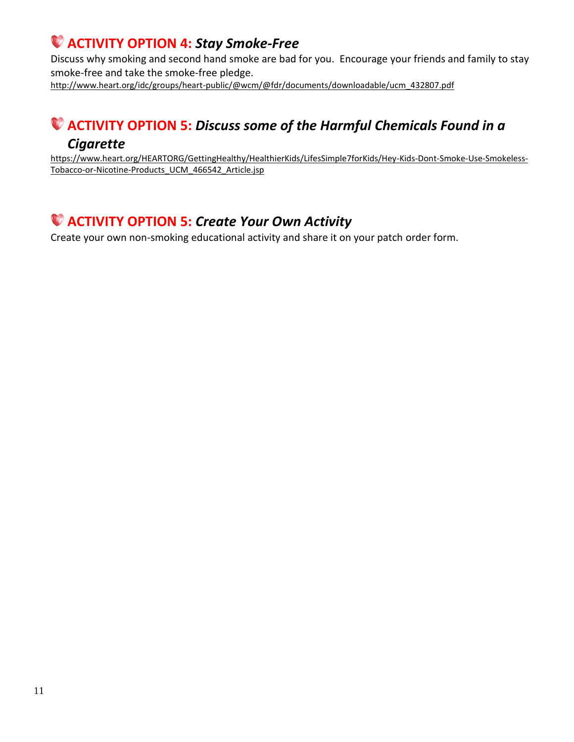### **ACTIVITY OPTION 4:** *Stay Smoke-Free*

Discuss why smoking and second hand smoke are bad for you. Encourage your friends and family to stay smoke-free and take the smoke-free pledge.

http://www.heart.org/idc/groups/heart-public/@wcm/@fdr/documents/downloadable/ucm\_432807.pdf

### **ACTIVITY OPTION 5:** *Discuss some of the Harmful Chemicals Found in a*

#### *Cigarette*

https://www.heart.org/HEARTORG/GettingHealthy/HealthierKids/LifesSimple7forKids/Hey-Kids-Dont-Smoke-Use-Smokeless-Tobacco-or-Nicotine-Products\_UCM\_466542\_Article.jsp

### **ACTIVITY OPTION 5:** *Create Your Own Activity*

Create your own non-smoking educational activity and share it on your patch order form.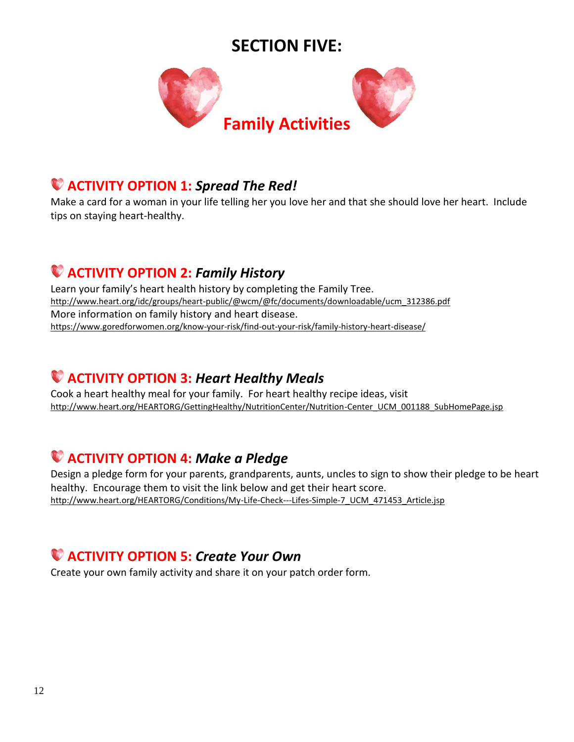## **SECTION FIVE:**



### **ACTIVITY OPTION 1:** *Spread The Red!*

Make a card for a woman in your life telling her you love her and that she should love her heart. Include tips on staying heart-healthy.

### **ACTIVITY OPTION 2:** *Family History*

Learn your family's heart health history by completing the Family Tree. http://www.heart.org/idc/groups/heart-public/@wcm/@fc/documents/downloadable/ucm\_312386.pdf More information on family history and heart disease. https://www.goredforwomen.org/know-your-risk/find-out-your-risk/family-history-heart-disease/

#### **ACTIVITY OPTION 3:** *Heart Healthy Meals*

Cook a heart healthy meal for your family. For heart healthy recipe ideas, visit http://www.heart.org/HEARTORG/GettingHealthy/NutritionCenter/Nutrition-Center\_UCM\_001188\_SubHomePage.jsp

### **ACTIVITY OPTION 4:** *Make a Pledge*

Design a pledge form for your parents, grandparents, aunts, uncles to sign to show their pledge to be heart healthy. Encourage them to visit the link below and get their heart score. http://www.heart.org/HEARTORG/Conditions/My-Life-Check---Lifes-Simple-7\_UCM\_471453\_Article.jsp

### **ACTIVITY OPTION 5:** *Create Your Own*

Create your own family activity and share it on your patch order form.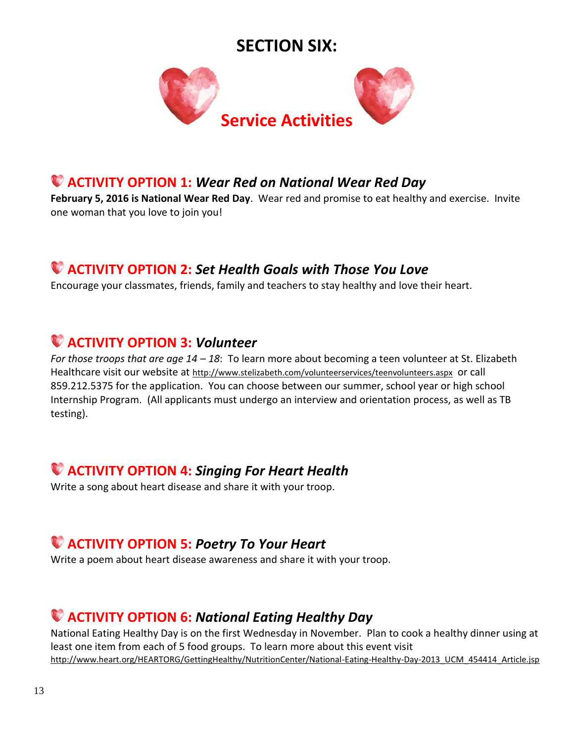### **SECTION SIX:**



## **ACTIVITY OPTION 1:** *Wear Red on National Wear Red Day*

**February 5, 2016 is National Wear Red Day**. Wear red and promise to eat healthy and exercise. Invite one woman that you love to join you!

### **ACTIVITY OPTION 2:** *Set Health Goals with Those You Love*

Encourage your classmates, friends, family and teachers to stay healthy and love their heart.

### **ACTIVITY OPTION 3:** *Volunteer*

*For those troops that are age 14 – 18*: To learn more about becoming a teen volunteer at St. Elizabeth Healthcare visit our website at http://www.stelizabeth.com/volunteerservices/teenvolunteers.aspx or call 859.212.5375 for the application. You can choose between our summer, school year or high school Internship Program. (All applicants must undergo an interview and orientation process, as well as TB testing).

## **ACTIVITY OPTION 4:** *Singing For Heart Health*

Write a song about heart disease and share it with your troop.

### **ACTIVITY OPTION 5:** *Poetry To Your Heart*

Write a poem about heart disease awareness and share it with your troop.

### **ACTIVITY OPTION 6:** *National Eating Healthy Day*

National Eating Healthy Day is on the first Wednesday in November. Plan to cook a healthy dinner using at least one item from each of 5 food groups. To learn more about this event visit http://www.heart.org/HEARTORG/GettingHealthy/NutritionCenter/National-Eating-Healthy-Day-2013\_UCM\_454414\_Article.jsp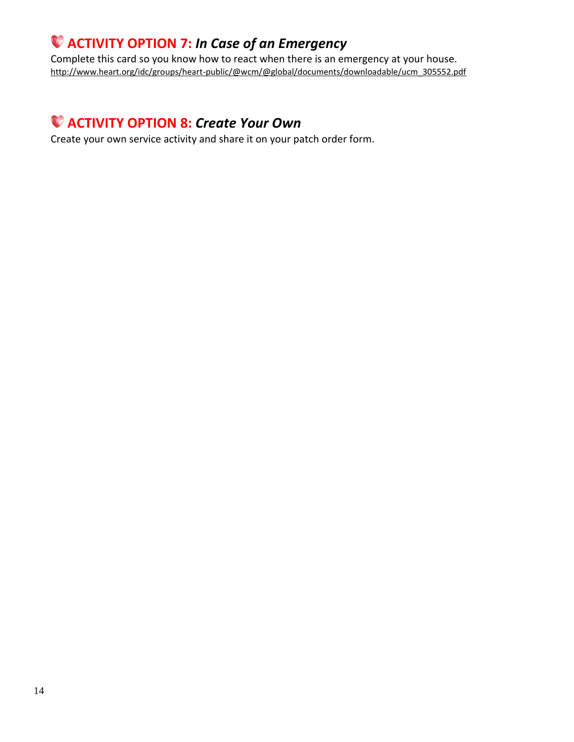### **ACTIVITY OPTION 7:** *In Case of an Emergency*

Complete this card so you know how to react when there is an emergency at your house. http://www.heart.org/idc/groups/heart-public/@wcm/@global/documents/downloadable/ucm\_305552.pdf

### **ACTIVITY OPTION 8:** *Create Your Own*

Create your own service activity and share it on your patch order form.